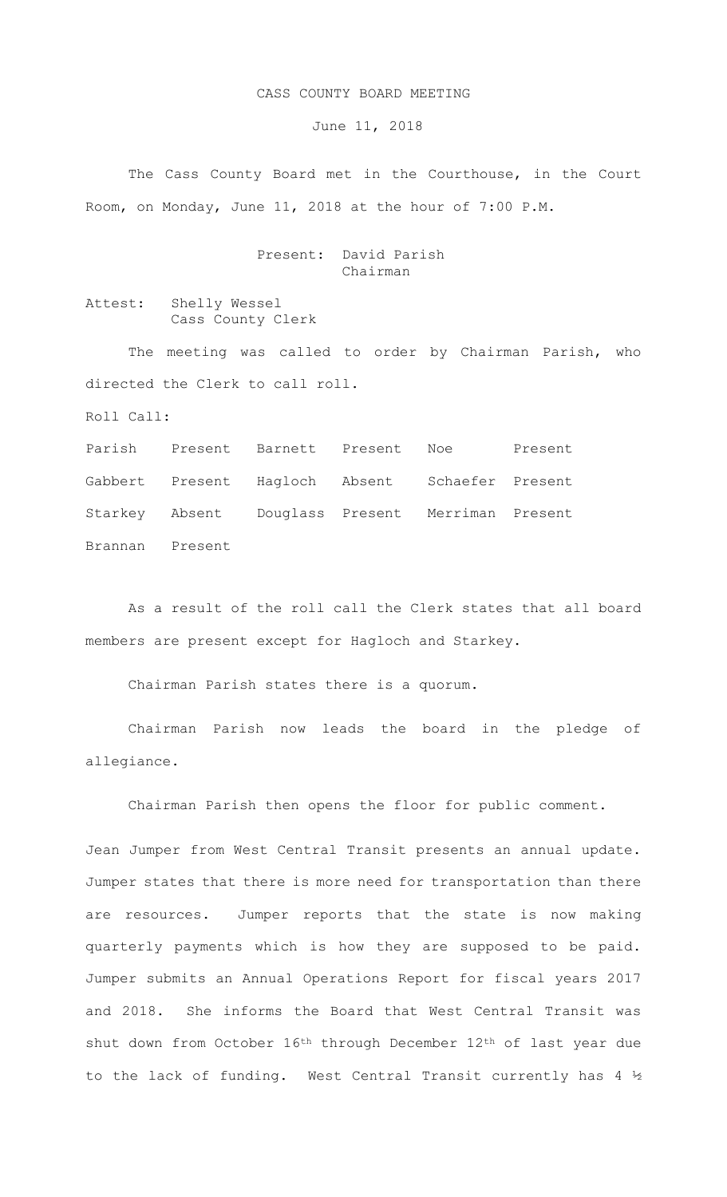## CASS COUNTY BOARD MEETING

June 11, 2018

The Cass County Board met in the Courthouse, in the Court Room, on Monday, June 11, 2018 at the hour of 7:00 P.M.

## Present: David Parish Chairman

Attest: Shelly Wessel Cass County Clerk

The meeting was called to order by Chairman Parish, who directed the Clerk to call roll.

Roll Call:

Parish Present Barnett Present Noe Present Gabbert Present Hagloch Absent Schaefer Present Starkey Absent Douglass Present Merriman Present Brannan Present

As a result of the roll call the Clerk states that all board members are present except for Hagloch and Starkey.

Chairman Parish states there is a quorum.

Chairman Parish now leads the board in the pledge of allegiance.

Chairman Parish then opens the floor for public comment.

Jean Jumper from West Central Transit presents an annual update. Jumper states that there is more need for transportation than there are resources. Jumper reports that the state is now making quarterly payments which is how they are supposed to be paid. Jumper submits an Annual Operations Report for fiscal years 2017 and 2018. She informs the Board that West Central Transit was shut down from October 16th through December 12th of last year due to the lack of funding. West Central Transit currently has 4 ½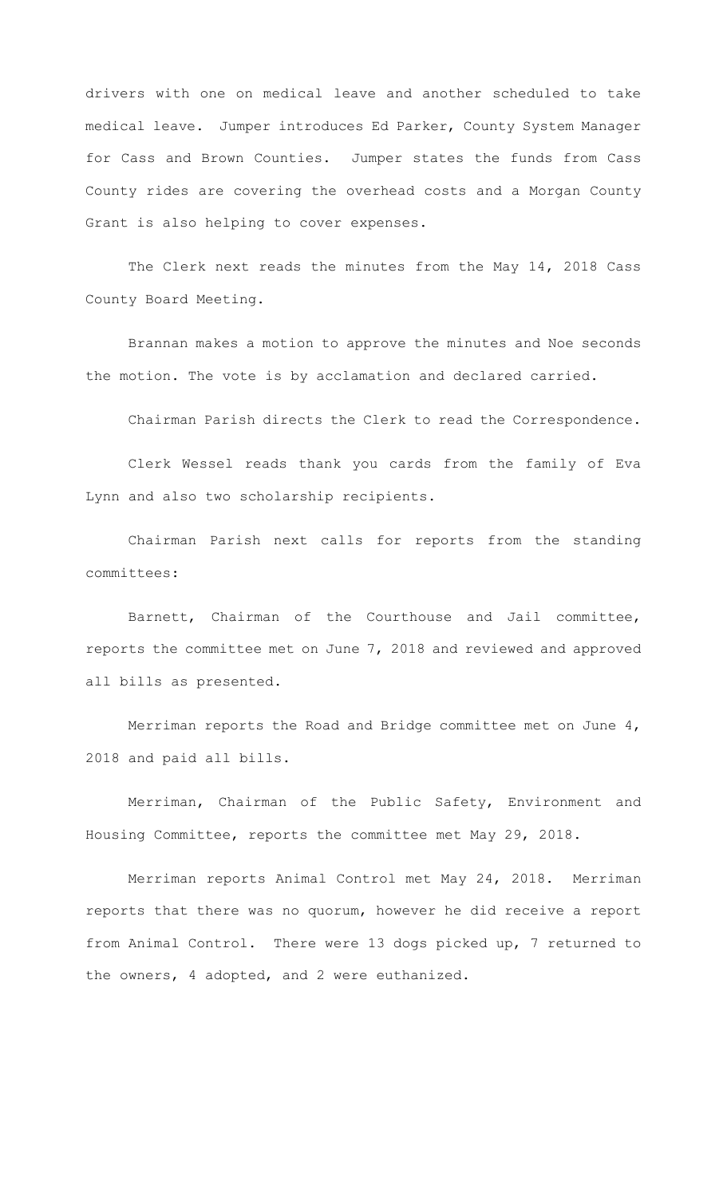drivers with one on medical leave and another scheduled to take medical leave. Jumper introduces Ed Parker, County System Manager for Cass and Brown Counties. Jumper states the funds from Cass County rides are covering the overhead costs and a Morgan County Grant is also helping to cover expenses.

The Clerk next reads the minutes from the May 14, 2018 Cass County Board Meeting.

Brannan makes a motion to approve the minutes and Noe seconds the motion. The vote is by acclamation and declared carried.

Chairman Parish directs the Clerk to read the Correspondence.

Clerk Wessel reads thank you cards from the family of Eva Lynn and also two scholarship recipients.

Chairman Parish next calls for reports from the standing committees:

Barnett, Chairman of the Courthouse and Jail committee, reports the committee met on June 7, 2018 and reviewed and approved all bills as presented.

Merriman reports the Road and Bridge committee met on June 4, 2018 and paid all bills.

Merriman, Chairman of the Public Safety, Environment and Housing Committee, reports the committee met May 29, 2018.

Merriman reports Animal Control met May 24, 2018. Merriman reports that there was no quorum, however he did receive a report from Animal Control. There were 13 dogs picked up, 7 returned to the owners, 4 adopted, and 2 were euthanized.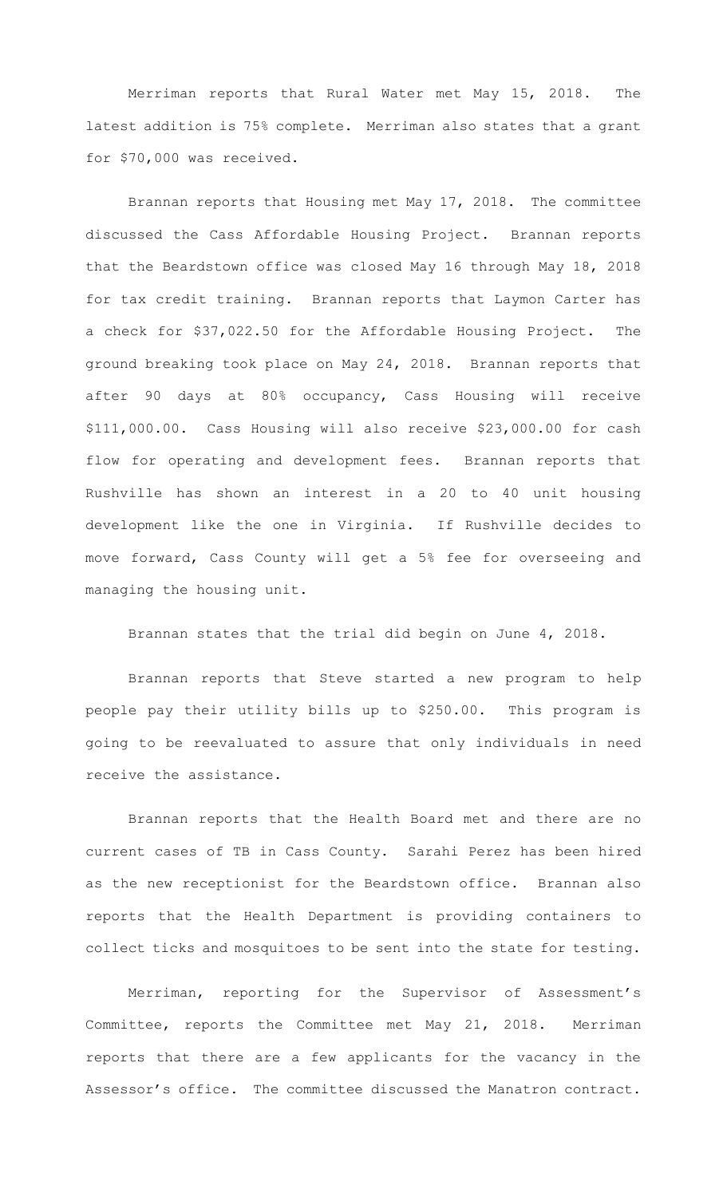Merriman reports that Rural Water met May 15, 2018. The latest addition is 75% complete. Merriman also states that a grant for \$70,000 was received.

Brannan reports that Housing met May 17, 2018. The committee discussed the Cass Affordable Housing Project. Brannan reports that the Beardstown office was closed May 16 through May 18, 2018 for tax credit training. Brannan reports that Laymon Carter has a check for \$37,022.50 for the Affordable Housing Project. The ground breaking took place on May 24, 2018. Brannan reports that after 90 days at 80% occupancy, Cass Housing will receive \$111,000.00. Cass Housing will also receive \$23,000.00 for cash flow for operating and development fees. Brannan reports that Rushville has shown an interest in a 20 to 40 unit housing development like the one in Virginia. If Rushville decides to move forward, Cass County will get a 5% fee for overseeing and managing the housing unit.

Brannan states that the trial did begin on June 4, 2018.

 Brannan reports that Steve started a new program to help people pay their utility bills up to \$250.00. This program is going to be reevaluated to assure that only individuals in need receive the assistance.

Brannan reports that the Health Board met and there are no current cases of TB in Cass County. Sarahi Perez has been hired as the new receptionist for the Beardstown office. Brannan also reports that the Health Department is providing containers to collect ticks and mosquitoes to be sent into the state for testing.

Merriman, reporting for the Supervisor of Assessment's Committee, reports the Committee met May 21, 2018. Merriman reports that there are a few applicants for the vacancy in the Assessor's office. The committee discussed the Manatron contract.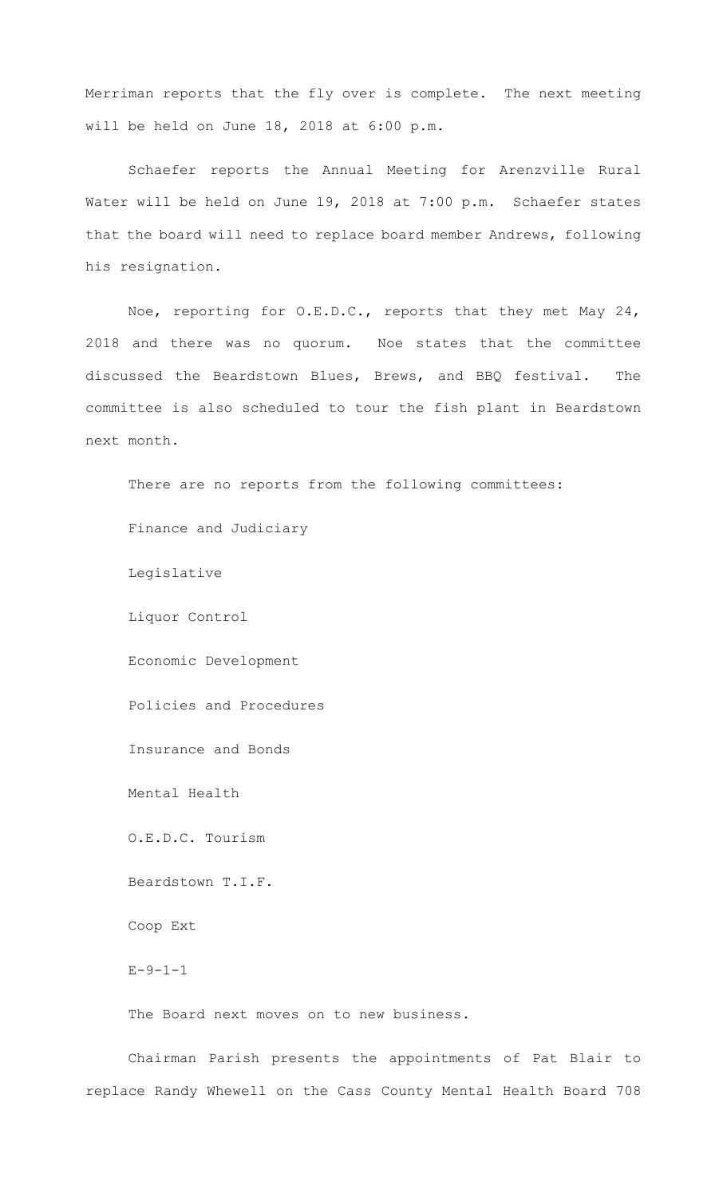Merriman reports that the fly over is complete. The next meeting will be held on June 18, 2018 at 6:00 p.m.

Schaefer reports the Annual Meeting for Arenzville Rural Water will be held on June 19, 2018 at 7:00 p.m. Schaefer states that the board will need to replace board member Andrews, following his resignation.

Noe, reporting for O.E.D.C., reports that they met May 24, 2018 and there was no quorum. Noe states that the committee discussed the Beardstown Blues, Brews, and BBQ festival. The committee is also scheduled to tour the fish plant in Beardstown next month.

There are no reports from the following committees: Finance and Judiciary Legislative Liquor Control Economic Development Policies and Procedures Insurance and Bonds Mental Health O.E.D.C. Tourism Beardstown T.I.F. Coop Ext  $E - 9 - 1 - 1$ The Board next moves on to new business.

Chairman Parish presents the appointments of Pat Blair to replace Randy Whewell on the Cass County Mental Health Board 708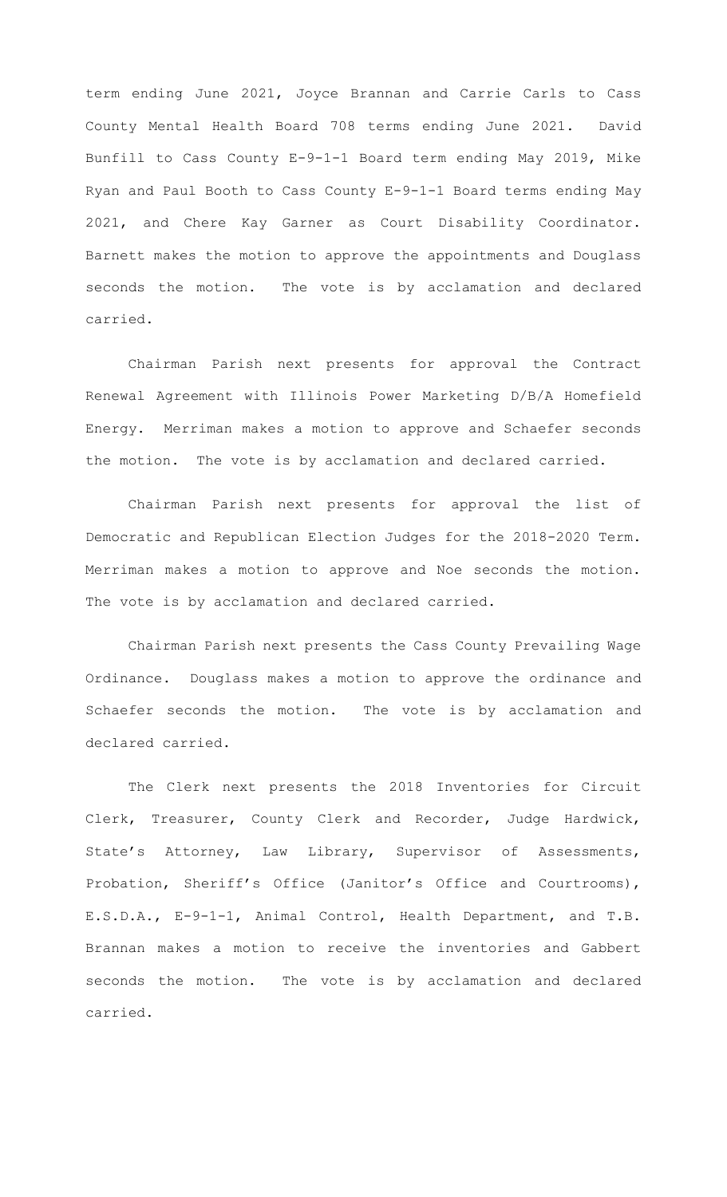term ending June 2021, Joyce Brannan and Carrie Carls to Cass County Mental Health Board 708 terms ending June 2021. David Bunfill to Cass County E-9-1-1 Board term ending May 2019, Mike Ryan and Paul Booth to Cass County E-9-1-1 Board terms ending May 2021, and Chere Kay Garner as Court Disability Coordinator. Barnett makes the motion to approve the appointments and Douglass seconds the motion. The vote is by acclamation and declared carried.

Chairman Parish next presents for approval the Contract Renewal Agreement with Illinois Power Marketing D/B/A Homefield Energy. Merriman makes a motion to approve and Schaefer seconds the motion. The vote is by acclamation and declared carried.

 Chairman Parish next presents for approval the list of Democratic and Republican Election Judges for the 2018-2020 Term. Merriman makes a motion to approve and Noe seconds the motion. The vote is by acclamation and declared carried.

Chairman Parish next presents the Cass County Prevailing Wage Ordinance. Douglass makes a motion to approve the ordinance and Schaefer seconds the motion. The vote is by acclamation and declared carried.

The Clerk next presents the 2018 Inventories for Circuit Clerk, Treasurer, County Clerk and Recorder, Judge Hardwick, State's Attorney, Law Library, Supervisor of Assessments, Probation, Sheriff's Office (Janitor's Office and Courtrooms), E.S.D.A., E-9-1-1, Animal Control, Health Department, and T.B. Brannan makes a motion to receive the inventories and Gabbert seconds the motion. The vote is by acclamation and declared carried.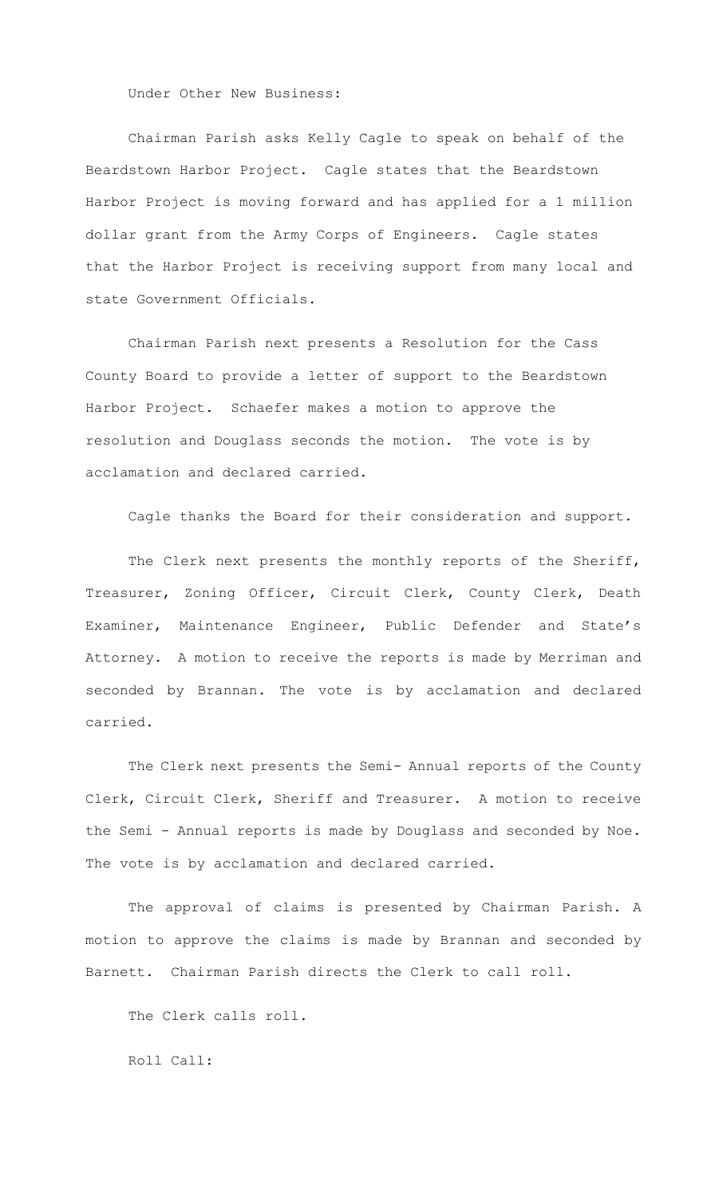Under Other New Business:

Chairman Parish asks Kelly Cagle to speak on behalf of the Beardstown Harbor Project. Cagle states that the Beardstown Harbor Project is moving forward and has applied for a 1 million dollar grant from the Army Corps of Engineers. Cagle states that the Harbor Project is receiving support from many local and state Government Officials.

Chairman Parish next presents a Resolution for the Cass County Board to provide a letter of support to the Beardstown Harbor Project. Schaefer makes a motion to approve the resolution and Douglass seconds the motion. The vote is by acclamation and declared carried.

Cagle thanks the Board for their consideration and support.

 The Clerk next presents the monthly reports of the Sheriff, Treasurer, Zoning Officer, Circuit Clerk, County Clerk, Death Examiner, Maintenance Engineer, Public Defender and State's Attorney. A motion to receive the reports is made by Merriman and seconded by Brannan. The vote is by acclamation and declared carried.

The Clerk next presents the Semi- Annual reports of the County Clerk, Circuit Clerk, Sheriff and Treasurer. A motion to receive the Semi - Annual reports is made by Douglass and seconded by Noe. The vote is by acclamation and declared carried.

The approval of claims is presented by Chairman Parish. A motion to approve the claims is made by Brannan and seconded by Barnett. Chairman Parish directs the Clerk to call roll.

The Clerk calls roll.

Roll Call: